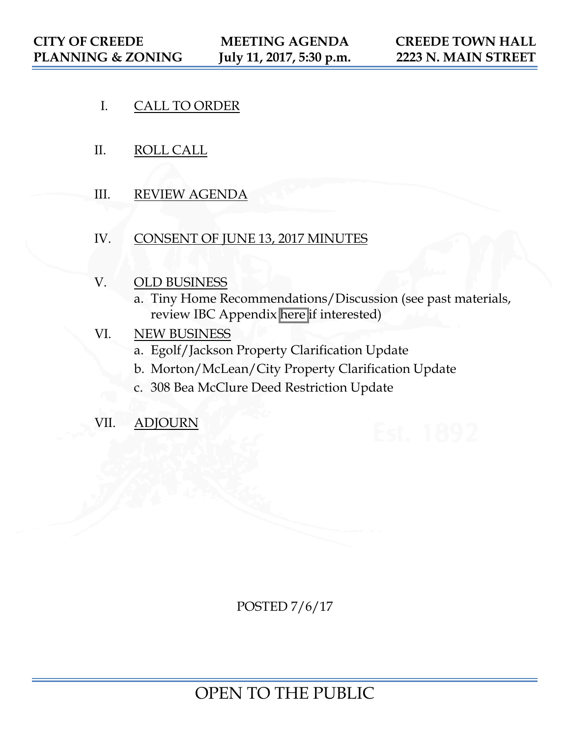- I. CALL TO ORDER
- II. ROLL CALL
- III. REVIEW AGENDA
- IV. CONSENT OF JUNE 13, 2017 MINUTES
- V. OLD BUSINESS
	- a. Tiny Home Recommendations/Discussion (see past materials, review IBC Appendix [here](https://tinyhousebuild.com/wp-content/uploads/2016/08/Proposed-Tiny-House-Appendix-and-Reason-Statement.pdf) if interested)

# VI. NEW BUSINESS

- a. Egolf/Jackson Property Clarification Update
- b. Morton/McLean/City Property Clarification Update
- c. 308 Bea McClure Deed Restriction Update
- VII. ADJOURN

POSTED 7/6/17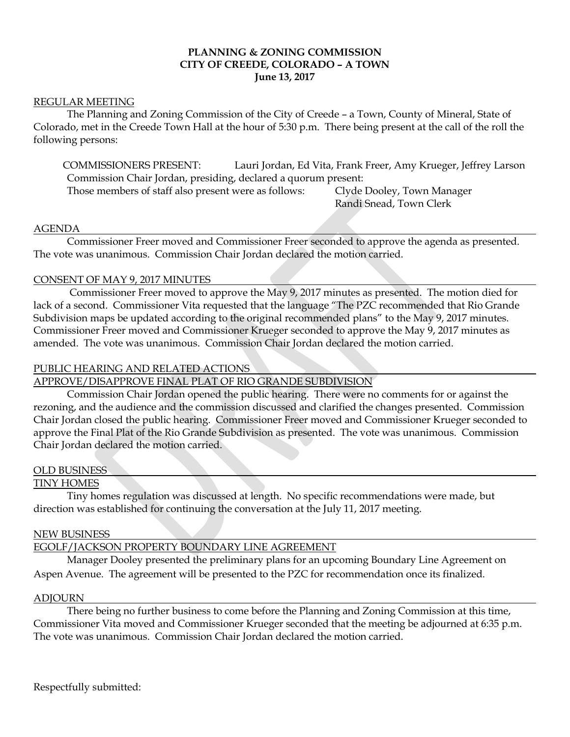## **PLANNING & ZONING COMMISSION CITY OF CREEDE, COLORADO – A TOWN June 13, 2017**

## REGULAR MEETING

The Planning and Zoning Commission of the City of Creede – a Town, County of Mineral, State of Colorado, met in the Creede Town Hall at the hour of 5:30 p.m. There being present at the call of the roll the following persons:

COMMISSIONERS PRESENT: Lauri Jordan, Ed Vita, Frank Freer, Amy Krueger, Jeffrey Larson Commission Chair Jordan, presiding, declared a quorum present:

Those members of staff also present were as follows: Clyde Dooley, Town Manager

Randi Snead, Town Clerk

#### AGENDA

Commissioner Freer moved and Commissioner Freer seconded to approve the agenda as presented. The vote was unanimous. Commission Chair Jordan declared the motion carried.

### CONSENT OF MAY 9, 2017 MINUTES

 Commissioner Freer moved to approve the May 9, 2017 minutes as presented. The motion died for lack of a second. Commissioner Vita requested that the language "The PZC recommended that Rio Grande Subdivision maps be updated according to the original recommended plans" to the May 9, 2017 minutes. Commissioner Freer moved and Commissioner Krueger seconded to approve the May 9, 2017 minutes as amended. The vote was unanimous. Commission Chair Jordan declared the motion carried.

### PUBLIC HEARING AND RELATED ACTIONS

APPROVE/DISAPPROVE FINAL PLAT OF RIO GRANDE SUBDIVISION

Commission Chair Jordan opened the public hearing. There were no comments for or against the rezoning, and the audience and the commission discussed and clarified the changes presented. Commission Chair Jordan closed the public hearing. Commissioner Freer moved and Commissioner Krueger seconded to approve the Final Plat of the Rio Grande Subdivision as presented. The vote was unanimous. Commission Chair Jordan declared the motion carried.

### OLD BUSINESS

### TINY HOMES

Tiny homes regulation was discussed at length. No specific recommendations were made, but direction was established for continuing the conversation at the July 11, 2017 meeting.

#### NEW BUSINESS

## EGOLF/JACKSON PROPERTY BOUNDARY LINE AGREEMENT

Manager Dooley presented the preliminary plans for an upcoming Boundary Line Agreement on Aspen Avenue. The agreement will be presented to the PZC for recommendation once its finalized.

#### ADJOURN

There being no further business to come before the Planning and Zoning Commission at this time, Commissioner Vita moved and Commissioner Krueger seconded that the meeting be adjourned at 6:35 p.m. The vote was unanimous. Commission Chair Jordan declared the motion carried.